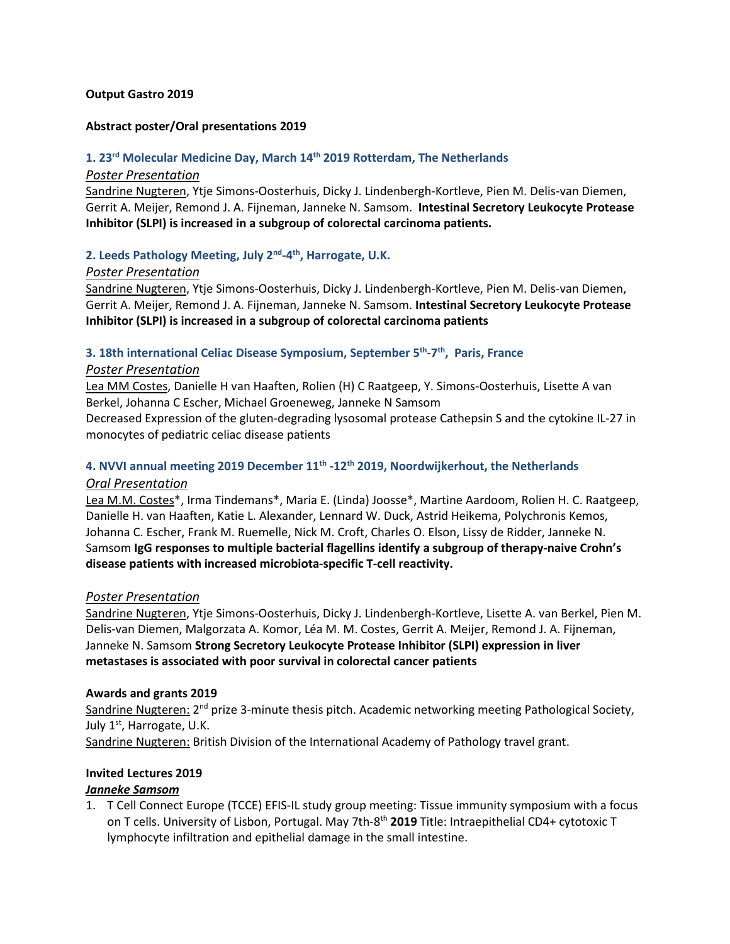#### **Output Gastro 2019**

#### **Abstract poster/Oral presentations 2019**

## **1. 23rd Molecular Medicine Day, March 14th 2019 Rotterdam, The Netherlands**

#### *Poster Presentation*

Sandrine Nugteren, Ytje Simons-Oosterhuis, Dicky J. Lindenbergh-Kortleve, Pien M. Delis-van Diemen, Gerrit A. Meijer, Remond J. A. Fijneman, Janneke N. Samsom. **Intestinal Secretory Leukocyte Protease Inhibitor (SLPI) is increased in a subgroup of colorectal carcinoma patients.**

# **2. Leeds Pathology Meeting, July 2nd-4th, Harrogate, U.K.**

#### *Poster Presentation*

Sandrine Nugteren, Ytje Simons-Oosterhuis, Dicky J. Lindenbergh-Kortleve, Pien M. Delis-van Diemen, Gerrit A. Meijer, Remond J. A. Fijneman, Janneke N. Samsom. **Intestinal Secretory Leukocyte Protease Inhibitor (SLPI) is increased in a subgroup of colorectal carcinoma patients**

# **3. 18th international Celiac Disease Symposium, September 5th-7th, Paris, France**

#### *Poster Presentation*

Lea MM Costes, Danielle H van Haaften, Rolien (H) C Raatgeep, Y. Simons-Oosterhuis, Lisette A van Berkel, Johanna C Escher, Michael Groeneweg, Janneke N Samsom

Decreased Expression of the gluten-degrading lysosomal protease Cathepsin S and the cytokine IL-27 in monocytes of pediatric celiac disease patients

# **4. NVVI annual meeting 2019 December 11th -12th 2019, Noordwijkerhout, the Netherlands** *Oral Presentation*

Lea M.M. Costes\*, Irma Tindemans\*, Maria E. (Linda) Joosse\*, Martine Aardoom, Rolien H. C. Raatgeep, Danielle H. van Haaften, Katie L. Alexander, Lennard W. Duck, Astrid Heikema, Polychronis Kemos, Johanna C. Escher, Frank M. Ruemelle, Nick M. Croft, Charles O. Elson, Lissy de Ridder, Janneke N. Samsom **IgG responses to multiple bacterial flagellins identify a subgroup of therapy-naive Crohn's disease patients with increased microbiota-specific T-cell reactivity.** 

## *Poster Presentation*

Sandrine Nugteren, Ytje Simons-Oosterhuis, Dicky J. Lindenbergh-Kortleve, Lisette A. van Berkel, Pien M. Delis-van Diemen, Malgorzata A. Komor, Léa M. M. Costes, Gerrit A. Meijer, Remond J. A. Fijneman, Janneke N. Samsom **Strong Secretory Leukocyte Protease Inhibitor (SLPI) expression in liver metastases is associated with poor survival in colorectal cancer patients**

#### **Awards and grants 2019**

Sandrine Nugteren:  $2^{nd}$  prize 3-minute thesis pitch. Academic networking meeting Pathological Society, July  $1<sup>st</sup>$ , Harrogate, U.K. Sandrine Nugteren: British Division of the International Academy of Pathology travel grant.

## **Invited Lectures 2019**

## *Janneke Samsom*

1. T Cell Connect Europe (TCCE) EFIS-IL study group meeting: Tissue immunity symposium with a focus on T cells. University of Lisbon, Portugal. May 7th-8th **2019** Title: Intraepithelial CD4+ cytotoxic T lymphocyte infiltration and epithelial damage in the small intestine.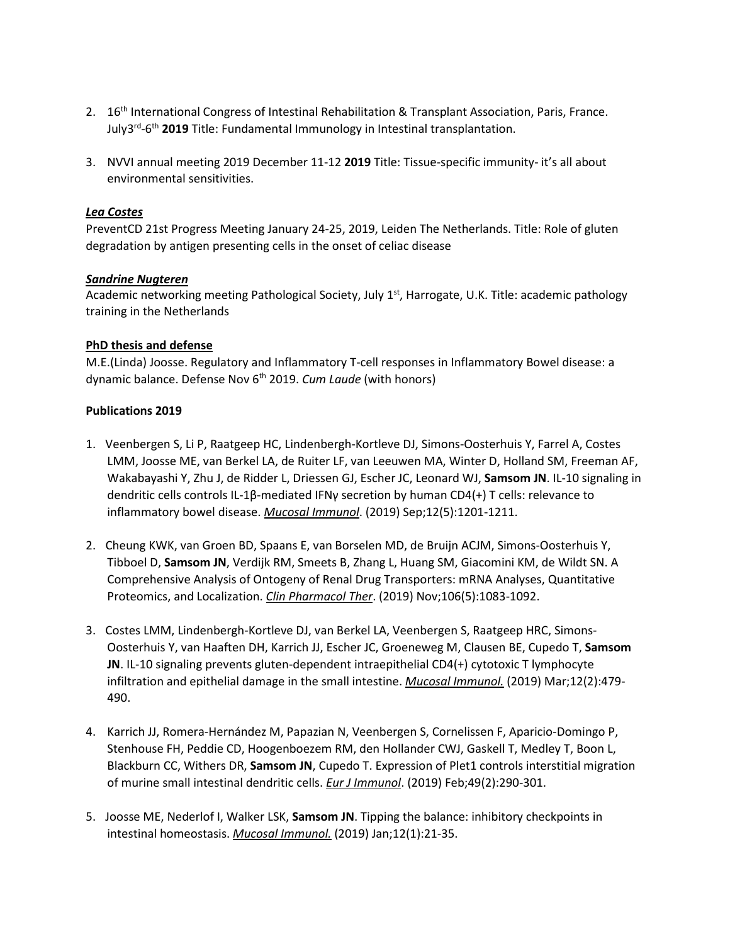- 2. 16<sup>th</sup> International Congress of Intestinal Rehabilitation & Transplant Association, Paris, France. July3rd-6th **2019** Title: Fundamental Immunology in Intestinal transplantation.
- 3. NVVI annual meeting 2019 December 11-12 **2019** Title: Tissue-specific immunity- it's all about environmental sensitivities.

## *Lea Costes*

PreventCD 21st Progress Meeting January 24-25, 2019, Leiden The Netherlands. Title: Role of gluten degradation by antigen presenting cells in the onset of celiac disease

## *Sandrine Nugteren*

Academic networking meeting Pathological Society, July 1st, Harrogate, U.K. Title: academic pathology training in the Netherlands

## **PhD thesis and defense**

M.E.(Linda) Joosse. Regulatory and Inflammatory T-cell responses in Inflammatory Bowel disease: a dynamic balance. Defense Nov 6<sup>th</sup> 2019. *Cum Laude* (with honors)

# **Publications 2019**

- 1. Veenbergen S, Li P, Raatgeep HC, Lindenbergh-Kortleve DJ, Simons-Oosterhuis Y, Farrel A, Costes LMM, Joosse ME, van Berkel LA, de Ruiter LF, van Leeuwen MA, Winter D, Holland SM, Freeman AF, Wakabayashi Y, Zhu J, de Ridder L, Driessen GJ, Escher JC, Leonard WJ, **Samsom JN**. IL-10 signaling in dendritic cells controls IL-1β-mediated IFNγ secretion by human CD4(+) T cells: relevance to inflammatory bowel disease. *Mucosal Immunol*. (2019) Sep;12(5):1201-1211.
- 2. Cheung KWK, van Groen BD, Spaans E, van Borselen MD, de Bruijn ACJM, Simons-Oosterhuis Y, Tibboel D, **Samsom JN**, Verdijk RM, Smeets B, Zhang L, Huang SM, Giacomini KM, de Wildt SN. A Comprehensive Analysis of Ontogeny of Renal Drug Transporters: mRNA Analyses, Quantitative Proteomics, and Localization. *Clin Pharmacol Ther*. (2019) Nov;106(5):1083-1092.
- 3. Costes LMM, Lindenbergh-Kortleve DJ, van Berkel LA, Veenbergen S, Raatgeep HRC, Simons-Oosterhuis Y, van Haaften DH, Karrich JJ, Escher JC, Groeneweg M, Clausen BE, Cupedo T, **Samsom JN**. IL-10 signaling prevents gluten-dependent intraepithelial CD4(+) cytotoxic T lymphocyte infiltration and epithelial damage in the small intestine. *Mucosal Immunol.* (2019) Mar;12(2):479- 490.
- 4. Karrich JJ, Romera-Hernández M, Papazian N, Veenbergen S, Cornelissen F, Aparicio-Domingo P, Stenhouse FH, Peddie CD, Hoogenboezem RM, den Hollander CWJ, Gaskell T, Medley T, Boon L, Blackburn CC, Withers DR, **Samsom JN**, Cupedo T. Expression of Plet1 controls interstitial migration of murine small intestinal dendritic cells. *Eur J Immunol*. (2019) Feb;49(2):290-301.
- 5. Joosse ME, Nederlof I, Walker LSK, **Samsom JN**. Tipping the balance: inhibitory checkpoints in intestinal homeostasis. *Mucosal Immunol.* (2019) Jan;12(1):21-35.